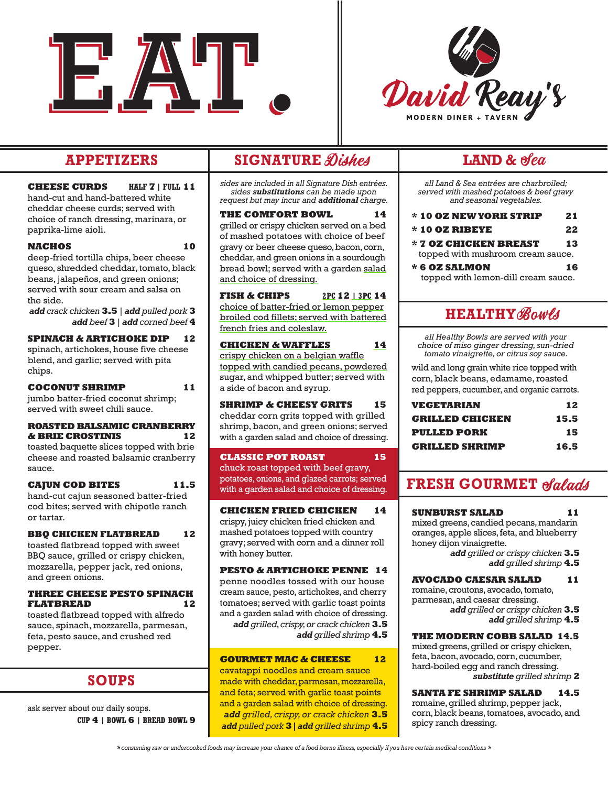



**CHEESE CURDS HALF 7 | FULL 11** hand-cut and hand-battered white cheddar cheese curds; served with choice of ranch dressing, marinara, or paprika-lime aioli.

**NACHOS 10** deep-fried tortilla chips, beer cheese queso, shredded cheddar, tomato, black beans, jalapeños, and green onions; served with sour cream and salsa on the side.

*add crack chicken* **3.5** *| add pulled pork* **3** *add beef* **3** *| add corned beef* **4**

**SPINACH & ARTICHOKE DIP 12** spinach, artichokes, house five cheese blend, and garlic; served with pita chips.

**COCONUT SHRIMP 11** jumbo batter-fried coconut shrimp; served with sweet chili sauce.

#### **ROASTED BALSAMIC CRANBERRY & BRIE CROSTINIS 12**

toasted baquette slices topped with brie cheese and roasted balsamic cranberry sauce.

### **CAJUN COD BITES 11.5**

hand-cut cajun seasoned batter-fried cod bites; served with chipotle ranch or tartar.

**BBQ CHICKEN FLATBREAD 12** toasted flatbread topped with sweet BBQ sauce, grilled or crispy chicken, mozzarella, pepper jack, red onions, and green onions.

#### **THREE CHEESE PESTO SPINACH FLATBREAD 12**

toasted flatbread topped with alfredo sauce, spinach, mozzarella, parmesan, feta, pesto sauce, and crushed red pepper.

# **SOUPS**

ask server about our daily soups. **CUP 4 | BOWL 6 | BREAD BOWL 9** 

# **APPETIZERS** SIGNATURE Dishes

*sides are included in all Signature Dish entrées. sides substitutions can be made upon request but may incur and additional charge.*

**THE COMFORT BOWL** grilled or crispy chicken served on a bed of mashed potatoes with choice of beef gravy or beer cheese queso, bacon, corn, cheddar, and green onions in a sourdough bread bowl; served with a garden salad and choice of dressing.

**FISH & CHIPS 2PC 12 | 3PC 14** choice of batter-fried or lemon pepper broiled cod fillets; served with battered french fries and coleslaw.

**CHICKEN & WAFFLES 14** crispy chicken on a belgian waffle topped with candied pecans, powdered sugar, and whipped butter; served with a side of bacon and syrup.

## **SHRIMP & CHEESY GRITS 15**

cheddar corn grits topped with grilled shrimp, bacon, and green onions; served with a garden salad and choice of dressing.

#### **CLASSIC POT ROAST 15**

chuck roast topped with beef gravy, potatoes, onions, and glazed carrots; served with a garden salad and choice of dressing.

#### **CHICKEN FRIED CHICKEN 14**

crispy, juicy chicken fried chicken and mashed potatoes topped with country gravy; served with corn and a dinner roll with honey butter.

#### **PESTO & ARTICHOKE PENNE 14**

penne noodles tossed with our house cream sauce, pesto, artichokes, and cherry tomatoes; served with garlic toast points and a garden salad with choice of dressing. *add grilled, crispy, or crack chicken* **3.5** *add grilled shrimp* **4.5**

#### **GOURMET MAC & CHEESE 12**

cavatappi noodles and cream sauce made with cheddar, parmesan, mozzarella, and feta; served with garlic toast points and a garden salad with choice of dressing. *add grilled, crispy, or crack chicken* **3.5** *add pulled pork* **3|***add grilled shrimp* **4.5**

# LAND &  $\theta$ ea

*all Land & Sea entrées are charbroiled; served with mashed potatoes & beef gravy and seasonal vegetables.*

- **\* 10 OZ NEW YORK STRIP 21**
- **\* 10 OZ RIBEYE 22**
- **\* 7 OZ CHICKEN BREAST 13** topped with mushroom cream sauce.
- **\* 6 OZ SALMON 16** topped with lemon-dill cream sauce.

# **HEALTHY**

*all Healthy Bowls are served with your choice of miso ginger dressing, sun-dried tomato vinaigrette, or citrus soy sauce.* 

wild and long grain white rice topped with corn, black beans, edamame, roasted red peppers, cucumber, and organic carrots.

| VEGETARIAN             | 12   |
|------------------------|------|
| <b>GRILLED CHICKEN</b> | 15.5 |
| <b>PULLED PORK</b>     | 15   |
| <b>GRILLED SHRIMP</b>  | 16.5 |

# **FRESH GOURMET**

#### **SUNBURST SALAD 11**

mixed greens, candied pecans, mandarin oranges, apple slices, feta, and blueberry honey dijon vinaigrette. *add grilled or crispy chicken* **3.5**

*add grilled shrimp* **4.5**

#### **AVOCADO CAESAR SALAD 11**

romaine, croutons, avocado, tomato, parmesan, and caesar dressing. *add grilled or crispy chicken* **3.5** *add grilled shrimp* **4.5**

#### **THE MODERN COBB SALAD 14.5**

mixed greens, grilled or crispy chicken, feta, bacon, avocado, corn, cucumber, hard-boiled egg and ranch dressing. *substitute grilled shrimp* **2**

#### **SANTA FE SHRIMP SALAD 14.5**

romaine, grilled shrimp, pepper jack, corn, black beans, tomatoes, avocado, and spicy ranch dressing.